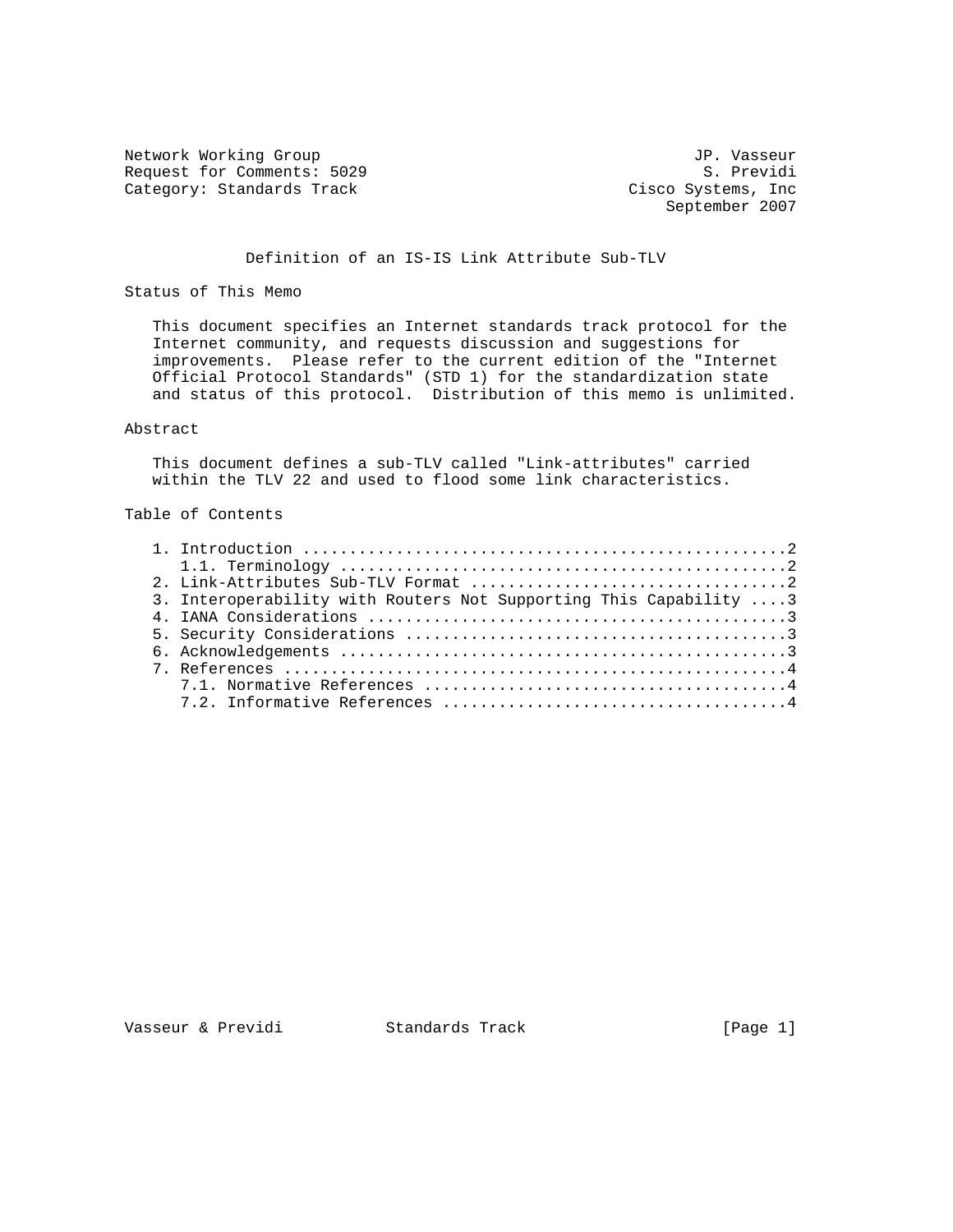Network Working Group<br>Request for Comments: 5029 S. Previdi Request for Comments: 5029 Category: Standards Track

Cisco Systems, Inc<br>September 2007

#### Definition of an IS-IS Link Attribute Sub-TLV

Status of This Memo

 This document specifies an Internet standards track protocol for the Internet community, and requests discussion and suggestions for improvements. Please refer to the current edition of the "Internet Official Protocol Standards" (STD 1) for the standardization state and status of this protocol. Distribution of this memo is unlimited.

#### Abstract

 This document defines a sub-TLV called "Link-attributes" carried within the TLV 22 and used to flood some link characteristics.

# Table of Contents

| 3. Interoperability with Routers Not Supporting This Capability  3 |
|--------------------------------------------------------------------|
|                                                                    |
|                                                                    |
|                                                                    |
|                                                                    |
|                                                                    |
|                                                                    |
|                                                                    |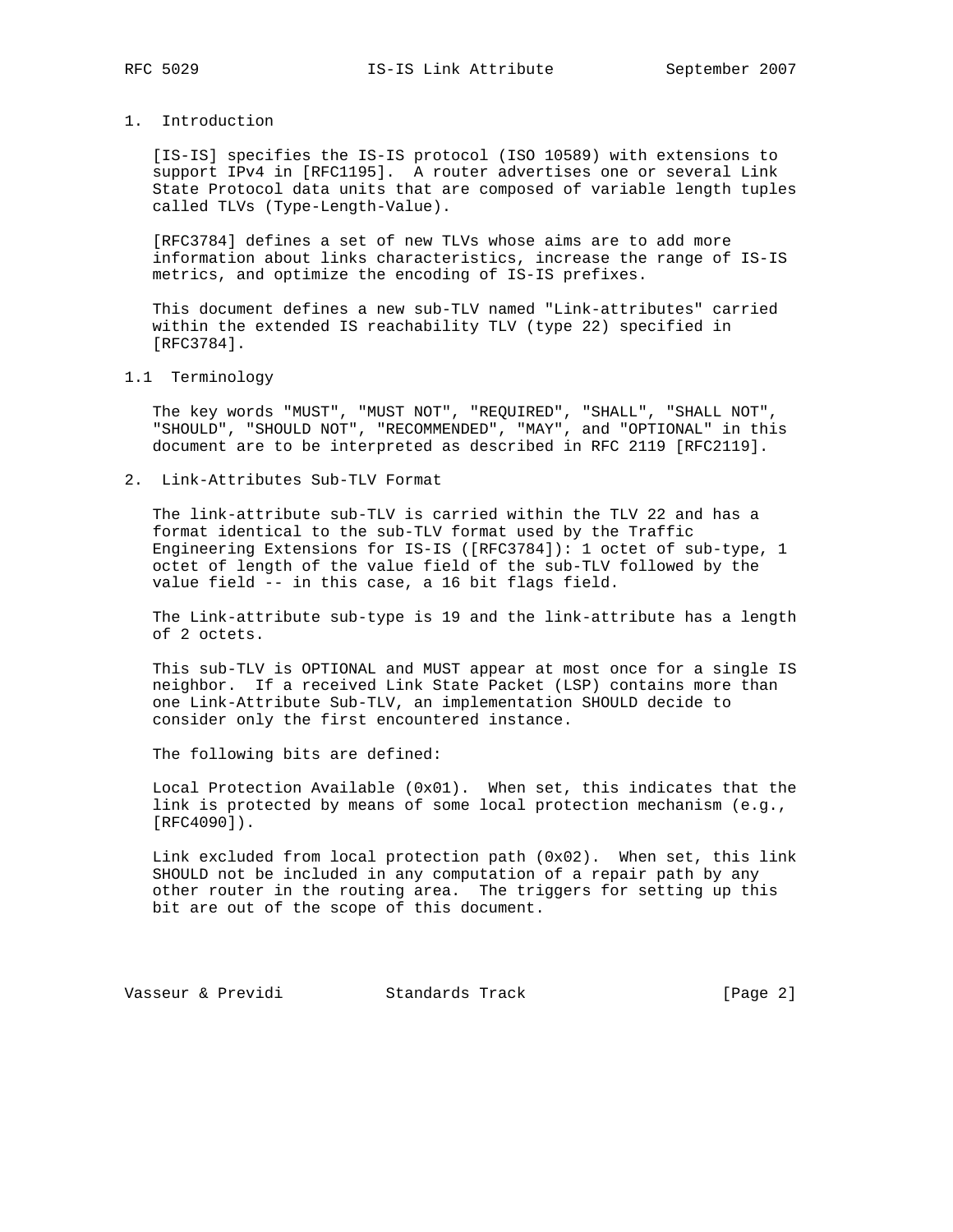# 1. Introduction

 [IS-IS] specifies the IS-IS protocol (ISO 10589) with extensions to support IPv4 in [RFC1195]. A router advertises one or several Link State Protocol data units that are composed of variable length tuples called TLVs (Type-Length-Value).

 [RFC3784] defines a set of new TLVs whose aims are to add more information about links characteristics, increase the range of IS-IS metrics, and optimize the encoding of IS-IS prefixes.

 This document defines a new sub-TLV named "Link-attributes" carried within the extended IS reachability TLV (type 22) specified in [RFC3784].

#### 1.1 Terminology

 The key words "MUST", "MUST NOT", "REQUIRED", "SHALL", "SHALL NOT", "SHOULD", "SHOULD NOT", "RECOMMENDED", "MAY", and "OPTIONAL" in this document are to be interpreted as described in RFC 2119 [RFC2119].

2. Link-Attributes Sub-TLV Format

 The link-attribute sub-TLV is carried within the TLV 22 and has a format identical to the sub-TLV format used by the Traffic Engineering Extensions for IS-IS ([RFC3784]): 1 octet of sub-type, 1 octet of length of the value field of the sub-TLV followed by the value field -- in this case, a 16 bit flags field.

 The Link-attribute sub-type is 19 and the link-attribute has a length of 2 octets.

 This sub-TLV is OPTIONAL and MUST appear at most once for a single IS neighbor. If a received Link State Packet (LSP) contains more than one Link-Attribute Sub-TLV, an implementation SHOULD decide to consider only the first encountered instance.

The following bits are defined:

 Local Protection Available (0x01). When set, this indicates that the link is protected by means of some local protection mechanism (e.g., [RFC4090]).

 Link excluded from local protection path (0x02). When set, this link SHOULD not be included in any computation of a repair path by any other router in the routing area. The triggers for setting up this bit are out of the scope of this document.

Vasseur & Previdi Standards Track [Page 2]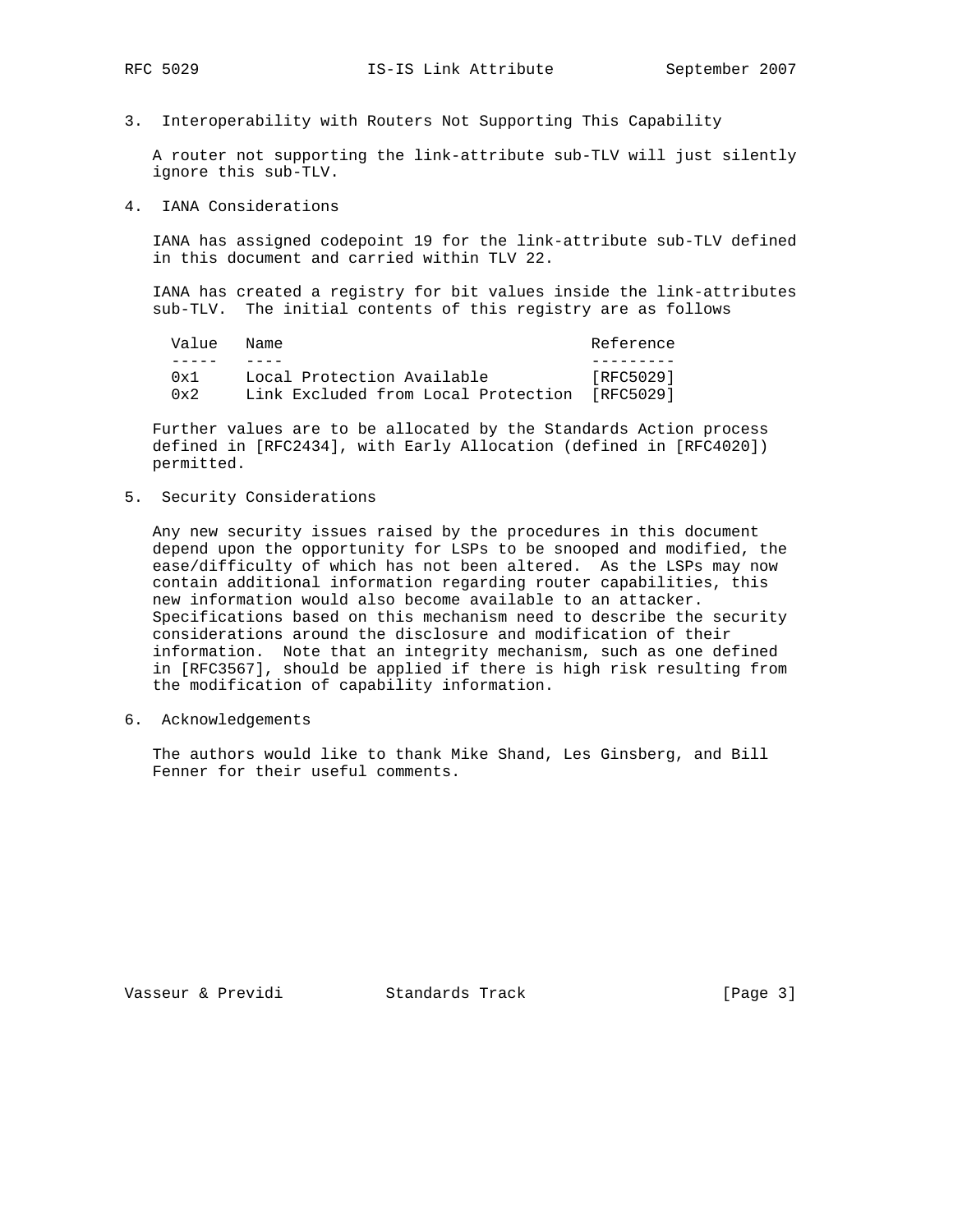3. Interoperability with Routers Not Supporting This Capability

 A router not supporting the link-attribute sub-TLV will just silently ignore this sub-TLV.

4. IANA Considerations

 IANA has assigned codepoint 19 for the link-attribute sub-TLV defined in this document and carried within TLV 22.

 IANA has created a registry for bit values inside the link-attributes sub-TLV. The initial contents of this registry are as follows

| Value Name |                                               | Reference |
|------------|-----------------------------------------------|-----------|
|            |                                               |           |
| 0x1        | Local Protection Available                    | [RFC5029] |
| 0x2        | Link Excluded from Local Protection [RFC5029] |           |

 Further values are to be allocated by the Standards Action process defined in [RFC2434], with Early Allocation (defined in [RFC4020]) permitted.

5. Security Considerations

 Any new security issues raised by the procedures in this document depend upon the opportunity for LSPs to be snooped and modified, the ease/difficulty of which has not been altered. As the LSPs may now contain additional information regarding router capabilities, this new information would also become available to an attacker. Specifications based on this mechanism need to describe the security considerations around the disclosure and modification of their information. Note that an integrity mechanism, such as one defined in [RFC3567], should be applied if there is high risk resulting from the modification of capability information.

6. Acknowledgements

 The authors would like to thank Mike Shand, Les Ginsberg, and Bill Fenner for their useful comments.

Vasseur & Previdi Standards Track [Page 3]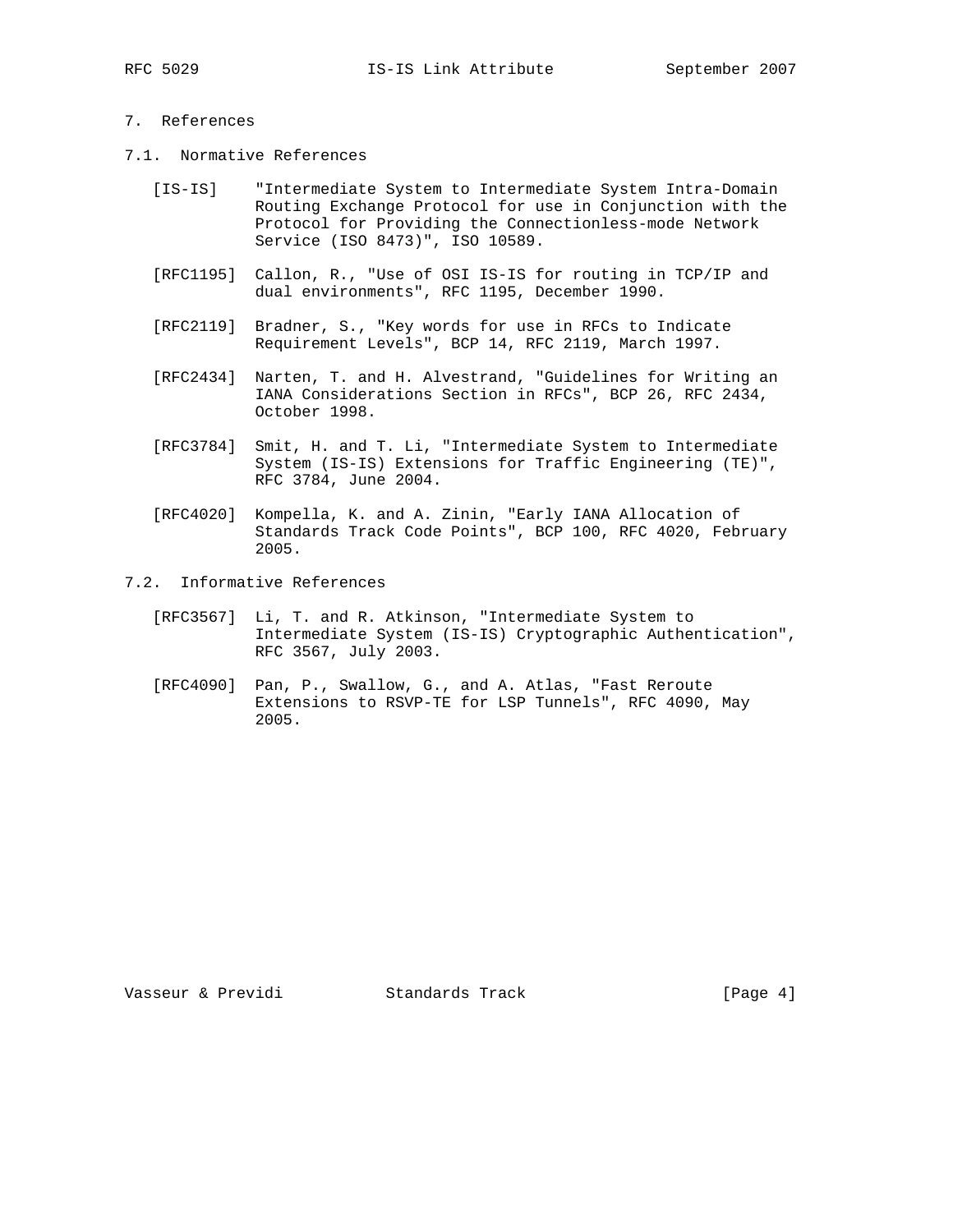# 7. References

- 7.1. Normative References
	- [IS-IS] "Intermediate System to Intermediate System Intra-Domain Routing Exchange Protocol for use in Conjunction with the Protocol for Providing the Connectionless-mode Network Service (ISO 8473)", ISO 10589.
	- [RFC1195] Callon, R., "Use of OSI IS-IS for routing in TCP/IP and dual environments", RFC 1195, December 1990.
	- [RFC2119] Bradner, S., "Key words for use in RFCs to Indicate Requirement Levels", BCP 14, RFC 2119, March 1997.
	- [RFC2434] Narten, T. and H. Alvestrand, "Guidelines for Writing an IANA Considerations Section in RFCs", BCP 26, RFC 2434, October 1998.
	- [RFC3784] Smit, H. and T. Li, "Intermediate System to Intermediate System (IS-IS) Extensions for Traffic Engineering (TE)", RFC 3784, June 2004.
	- [RFC4020] Kompella, K. and A. Zinin, "Early IANA Allocation of Standards Track Code Points", BCP 100, RFC 4020, February 2005.
- 7.2. Informative References
	- [RFC3567] Li, T. and R. Atkinson, "Intermediate System to Intermediate System (IS-IS) Cryptographic Authentication", RFC 3567, July 2003.
	- [RFC4090] Pan, P., Swallow, G., and A. Atlas, "Fast Reroute Extensions to RSVP-TE for LSP Tunnels", RFC 4090, May 2005.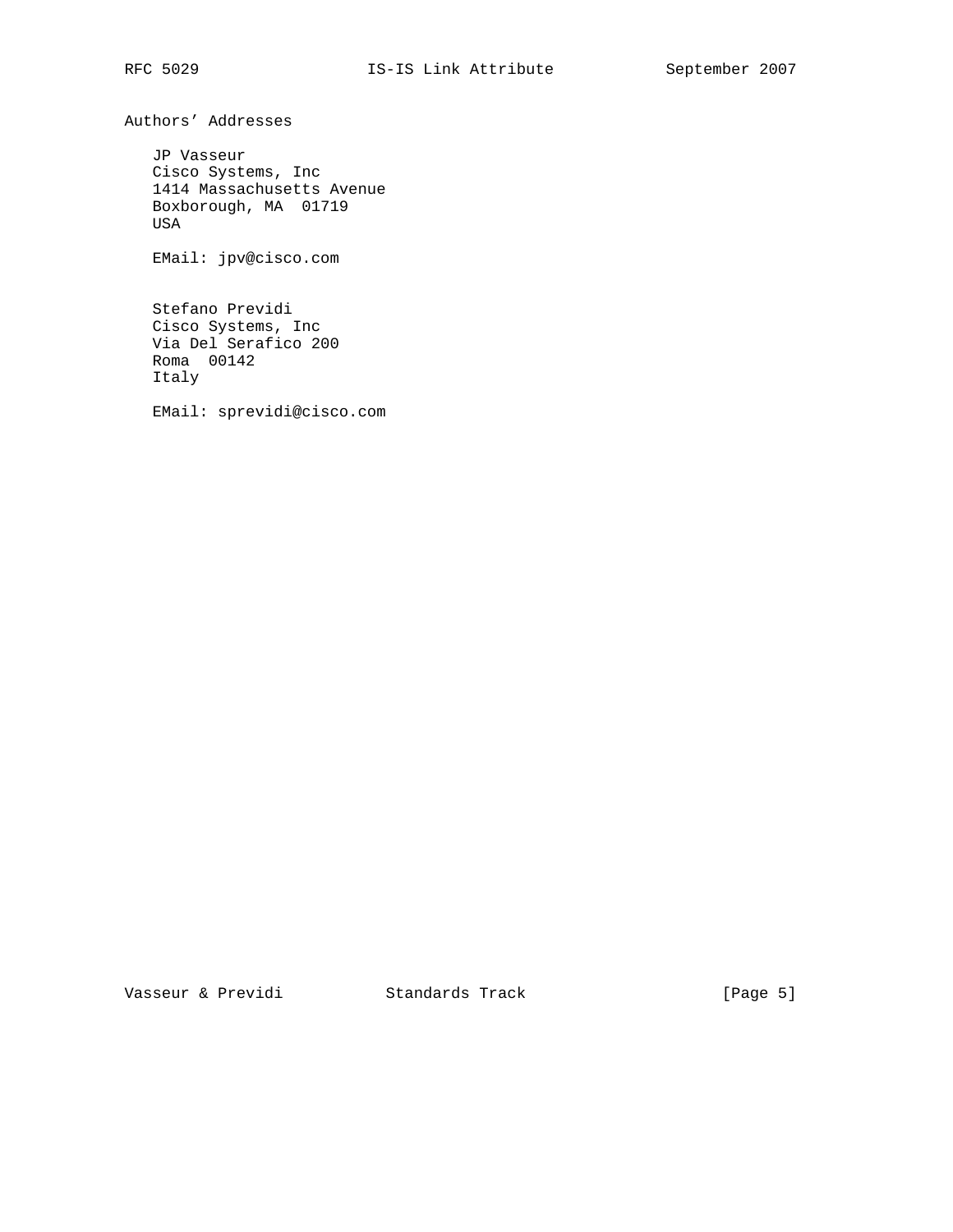Authors' Addresses

 JP Vasseur Cisco Systems, Inc 1414 Massachusetts Avenue Boxborough, MA 01719 USA

EMail: jpv@cisco.com

 Stefano Previdi Cisco Systems, Inc Via Del Serafico 200 Roma 00142 Italy

EMail: sprevidi@cisco.com